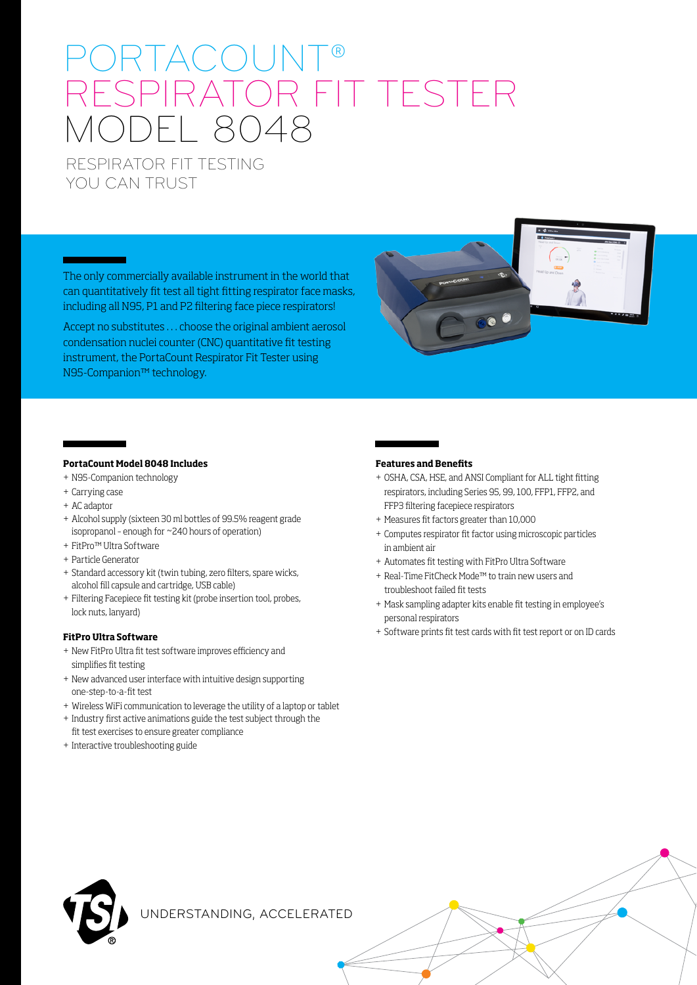# RIACOU RESPIRATOR FIT TESTER MODEL 8048

RESPIRATOR FIT TESTING YOU CAN TRUST

The only commercially available instrument in the world that can quantitatively fit test all tight fitting respirator face masks, including all N95, P1 and P2 filtering face piece respirators!

Accept no substitutes . . . choose the original ambient aerosol condensation nuclei counter (CNC) quantitative fit testing instrument, the PortaCount Respirator Fit Tester using N95-Companion™ technology.

#### **PortaCount Model 8048 Includes**

- + N95-Companion technology
- + Carrying case
- + AC adaptor
- + Alcohol supply (sixteen 30 ml bottles of 99.5% reagent grade isopropanol – enough for ~240 hours of operation)
- + FitPro™ Ultra Software
- + Particle Generator
- + Standard accessory kit (twin tubing, zero filters, spare wicks, alcohol fill capsule and cartridge, USB cable)
- + Filtering Facepiece fit testing kit (probe insertion tool, probes, lock nuts, lanyard)

#### **FitPro Ultra Software**

- + New FitPro Ultra fit test software improves efficiency and simplifies fit testing
- + New advanced user interface with intuitive design supporting one-step-to-a-fit test
- + Wireless WiFi communication to leverage the utility of a laptop or tablet
- + Industry first active animations guide the test subject through the fit test exercises to ensure greater compliance
- + Interactive troubleshooting guide



- + OSHA, CSA, HSE, and ANSI Compliant for ALL tight fitting respirators, including Series 95, 99, 100, FFP1, FFP2, and FFP3 filtering facepiece respirators
- + Measures fit factors greater than 10,000
- + Computes respirator fit factor using microscopic particles in ambient air
- + Automates fit testing with FitPro Ultra Software
- + Real-Time FitCheck Mode™ to train new users and troubleshoot failed fit tests
- + Mask sampling adapter kits enable fit testing in employee's personal respirators
- + Software prints fit test cards with fit test report or on ID cards



UNDERSTANDING, ACCELERATED